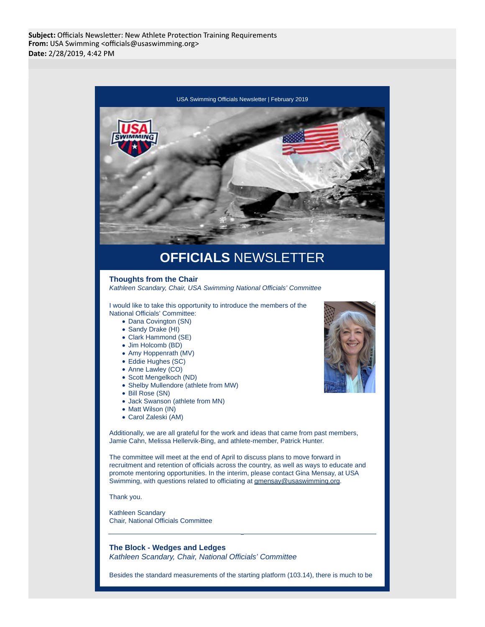

- Dana Covington (SN)
- Sandy Drake (HI)
- Clark Hammond (SE)
- Jim Holcomb (BD)
- Amy Hoppenrath (MV)
- Eddie Hughes (SC)
- Anne Lawley (CO)
- Scott Mengelkoch (ND)
- Shelby Mullendore (athlete from MW)
- Bill Rose (SN)
- Jack Swanson (athlete from MN)
- Matt Wilson (IN)
- Carol Zaleski (AM)

Additionally, we are all grateful for the work and ideas that came from past members, Jamie Cahn, Melissa Hellervik-Bing, and athlete-member, Patrick Hunter.

The committee will meet at the end of April to discuss plans to move forward in recruitment and retention of officials across the country, as well as ways to educate and promote mentoring opportunities. In the interim, please contact Gina Mensay, at USA Swimming, with questions related to officiating at gmensay@usaswimming.org.

Thank you.

Kathleen Scandary Chair, National Officials Committee

**The Block - Wedges and Ledges** Kathleen Scandary, Chair, National Officials' Committee

Besides the standard measurements of the starting platform (103.14), there is much to be

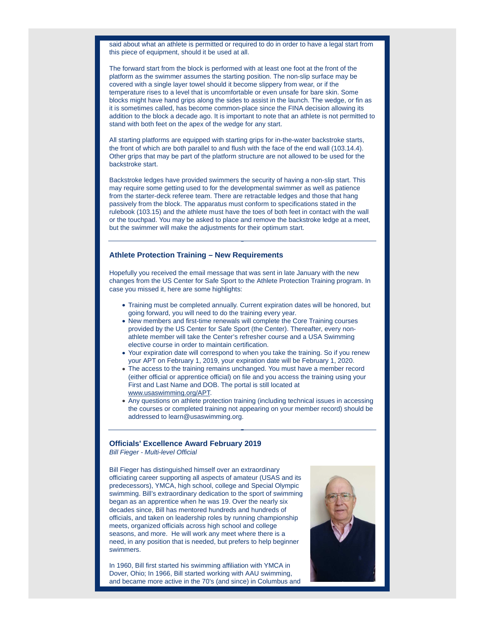said about what an athlete is permitted or required to do in order to have a legal start from this piece of equipment, should it be used at all.

The forward start from the block is performed with at least one foot at the front of the platform as the swimmer assumes the starting position. The non-slip surface may be covered with a single layer towel should it become slippery from wear, or if the temperature rises to a level that is uncomfortable or even unsafe for bare skin. Some blocks might have hand grips along the sides to assist in the launch. The wedge, or fin as it is sometimes called, has become common-place since the FINA decision allowing its addition to the block a decade ago. It is important to note that an athlete is not permitted to stand with both feet on the apex of the wedge for any start.

All starting platforms are equipped with starting grips for in-the-water backstroke starts, the front of which are both parallel to and flush with the face of the end wall (103.14.4). Other grips that may be part of the platform structure are not allowed to be used for the backstroke start.

Backstroke ledges have provided swimmers the security of having a non-slip start. This may require some getting used to for the developmental swimmer as well as patience from the starter-deck referee team. There are retractable ledges and those that hang passively from the block. The apparatus must conform to specifications stated in the rulebook (103.15) and the athlete must have the toes of both feet in contact with the wall or the touchpad. You may be asked to place and remove the backstroke ledge at a meet, but the swimmer will make the adjustments for their optimum start.

## **Athlete Protection Training – New Requirements**

Hopefully you received the email message that was sent in late January with the new changes from the US Center for Safe Sport to the Athlete Protection Training program. In case you missed it, here are some highlights:

- Training must be completed annually. Current expiration dates will be honored, but going forward, you will need to do the training every year.
- New members and first-time renewals will complete the Core Training courses provided by the US Center for Safe Sport (the Center). Thereafter, every nonathlete member will take the Center's refresher course and a USA Swimming elective course in order to maintain certification.
- Your expiration date will correspond to when you take the training. So if you renew your APT on February 1, 2019, your expiration date will be February 1, 2020.
- The access to the training remains unchanged. You must have a member record (either official or apprentice official) on file and you access the training using your First and Last Name and DOB. The portal is still located at www.usaswimming.org/APT.
- Any questions on athlete protection training (including technical issues in accessing the courses or completed training not appearing on your member record) should be addressed to learn@usaswimming.org.

## **Officials' Excellence Award February 2019**

Bill Fieger - Multi-level Official

Bill Fieger has distinguished himself over an extraordinary officiating career supporting all aspects of amateur (USAS and its predecessors), YMCA, high school, college and Special Olympic swimming. Bill's extraordinary dedication to the sport of swimming began as an apprentice when he was 19. Over the nearly six decades since, Bill has mentored hundreds and hundreds of officials, and taken on leadership roles by running championship meets, organized officials across high school and college seasons, and more. He will work any meet where there is a need, in any position that is needed, but prefers to help beginner swimmers.

In 1960, Bill first started his swimming affiliation with YMCA in Dover, Ohio; In 1966, Bill started working with AAU swimming, and became more active in the 70's (and since) in Columbus and